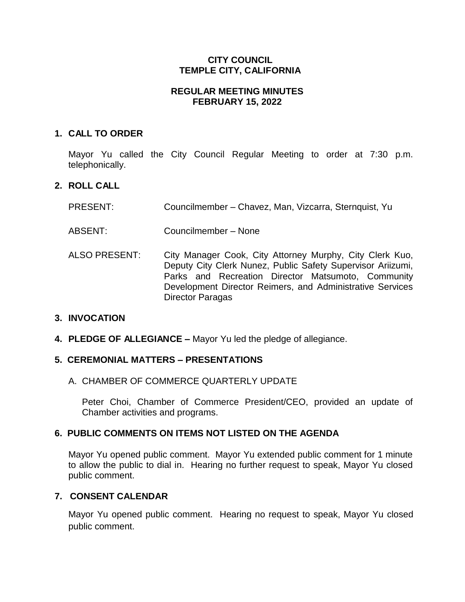## **CITY COUNCIL TEMPLE CITY, CALIFORNIA**

## **REGULAR MEETING MINUTES FEBRUARY 15, 2022**

## **1. CALL TO ORDER**

Mayor Yu called the City Council Regular Meeting to order at 7:30 p.m. telephonically.

## **2. ROLL CALL**

- PRESENT: Councilmember Chavez, Man, Vizcarra, Sternquist, Yu
- ABSENT: Councilmember None
- ALSO PRESENT: City Manager Cook, City Attorney Murphy, City Clerk Kuo, Deputy City Clerk Nunez, Public Safety Supervisor Ariizumi, Parks and Recreation Director Matsumoto, Community Development Director Reimers, and Administrative Services Director Paragas

### **3. INVOCATION**

**4. PLEDGE OF ALLEGIANCE –** Mayor Yu led the pledge of allegiance.

### **5. CEREMONIAL MATTERS – PRESENTATIONS**

A. CHAMBER OF COMMERCE QUARTERLY UPDATE

Peter Choi, Chamber of Commerce President/CEO, provided an update of Chamber activities and programs.

### **6. PUBLIC COMMENTS ON ITEMS NOT LISTED ON THE AGENDA**

Mayor Yu opened public comment. Mayor Yu extended public comment for 1 minute to allow the public to dial in. Hearing no further request to speak, Mayor Yu closed public comment.

### **7. CONSENT CALENDAR**

Mayor Yu opened public comment. Hearing no request to speak, Mayor Yu closed public comment.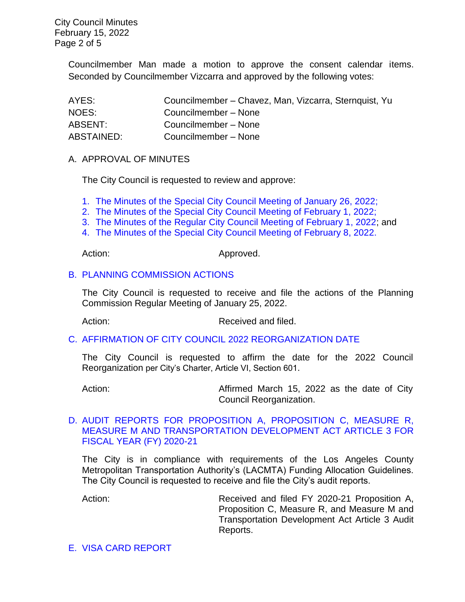City Council Minutes February 15, 2022 Page 2 of 5

> Councilmember Man made a motion to approve the consent calendar items. Seconded by Councilmember Vizcarra and approved by the following votes:

| AYES:      | Councilmember – Chavez, Man, Vizcarra, Sternquist, Yu |
|------------|-------------------------------------------------------|
| NOES:      | Councilmember - None                                  |
| ABSENT:    | Councilmember - None                                  |
| ABSTAINED: | Councilmember - None                                  |

#### A. APPROVAL OF MINUTES

The City Council is requested to review and approve:

- 1. The Minutes of the Special [City Council Meeting of January 26, 2022;](https://www.ci.temple-city.ca.us/DocumentCenter/View/17455/7A-1_CCM---2022-01-26-Sheriffs-Monthly)
- 2. [The Minutes of the Special City Council Meeting of February 1, 2022;](https://www.ci.temple-city.ca.us/DocumentCenter/View/17456/7A-2_CCM---2022-02-01-Special)
- 3. [The Minutes of the Regular City Council Meeting of February 1, 2022;](https://www.ci.temple-city.ca.us/DocumentCenter/View/17457/7A-3_CCM---2022-02-01) and
- 4. [The Minutes of the Special City Council Meeting of February 8, 2022.](https://www.ci.temple-city.ca.us/DocumentCenter/View/17458/7A-4_CCM---2022-02-08-Special)

Action: Approved.

### B. [PLANNING COMMISSION ACTIONS](https://www.ci.temple-city.ca.us/DocumentCenter/View/17459/7B_Planning-Commission-Actions_2022-01-25https:/www.ci.temple-city.ca.us/DocumentCenter/View/17459/7B_Planning-Commission-Actions_2022-01-25)

The City Council is requested to receive and file the actions of the Planning Commission Regular Meeting of January 25, 2022.

Action: Received and filed.

#### C. [AFFIRMATION OF CITY COUNCIL 2022 REORGANIZATION DATE](https://www.ci.temple-city.ca.us/DocumentCenter/View/17460/7C_Affirmation-of-City--Council-2019-Reorganization-Date-2022_Staff-Report)

The City Council is requested to affirm the date for the 2022 Council Reorganization per City's Charter, Article VI, Section 601.

Action: **Affirmed March 15, 2022 as the date of City** Council Reorganization.

### D. [AUDIT REPORTS FOR PROPOSITION A, PROPOSITION C, MEASURE R,](https://www.ci.temple-city.ca.us/DocumentCenter/View/17461/7D_FY21-Annual-Financial-Report-for-MTA-Funds-2-15-22_w-attachment)  [MEASURE M AND TRANSPORTATION DEVELOPMENT ACT ARTICLE 3 FOR](https://www.ci.temple-city.ca.us/DocumentCenter/View/17461/7D_FY21-Annual-Financial-Report-for-MTA-Funds-2-15-22_w-attachment)  [FISCAL YEAR \(FY\) 2020-21](https://www.ci.temple-city.ca.us/DocumentCenter/View/17461/7D_FY21-Annual-Financial-Report-for-MTA-Funds-2-15-22_w-attachment)

The City is in compliance with requirements of the Los Angeles County Metropolitan Transportation Authority's (LACMTA) Funding Allocation Guidelines. The City Council is requested to receive and file the City's audit reports.

Action: Received and filed FY 2020-21 Proposition A, Proposition C, Measure R, and Measure M and Transportation Development Act Article 3 Audit Reports.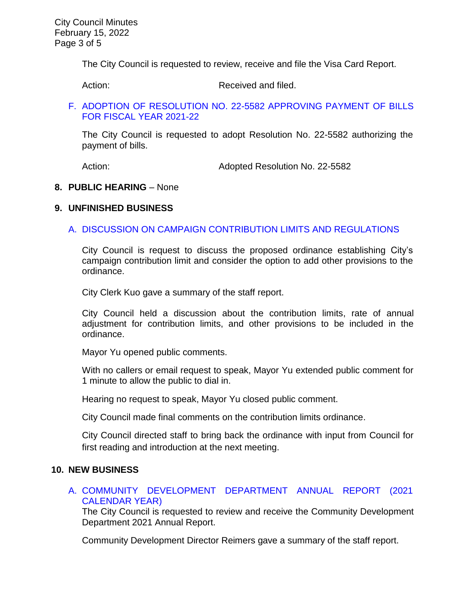The City Council is requested to review, receive and file the Visa Card Report.

Action: Received and filed.

### F. [ADOPTION OF RESOLUTION NO. 22-5582 APPROVING PAYMENT OF BILLS](https://www.ci.temple-city.ca.us/DocumentCenter/View/17463/7F_CC-Warrant_Reso-No-22-5582_2022-02-15)  [FOR FISCAL YEAR 2021-22](https://www.ci.temple-city.ca.us/DocumentCenter/View/17463/7F_CC-Warrant_Reso-No-22-5582_2022-02-15)

The City Council is requested to adopt Resolution No. 22-5582 authorizing the payment of bills.

Action: **Adopted Resolution No. 22-5582** 

### **8. PUBLIC HEARING** – None

### **9. UNFINISHED BUSINESS**

## A. [DISCUSSION ON CAMPAIGN CONTRIBUTION LIMITS AND REGULATIONS](https://www.ci.temple-city.ca.us/DocumentCenter/View/17464/9A_Campaign-Contribution-Limit_Staff-Report_v4)

City Council is request to discuss the proposed ordinance establishing City's campaign contribution limit and consider the option to add other provisions to the ordinance.

City Clerk Kuo gave a summary of the staff report.

City Council held a discussion about the contribution limits, rate of annual adjustment for contribution limits, and other provisions to be included in the ordinance.

Mayor Yu opened public comments.

With no callers or email request to speak, Mayor Yu extended public comment for 1 minute to allow the public to dial in.

Hearing no request to speak, Mayor Yu closed public comment.

City Council made final comments on the contribution limits ordinance.

City Council directed staff to bring back the ordinance with input from Council for first reading and introduction at the next meeting.

### **10. NEW BUSINESS**

### A. [COMMUNITY DEVELOPMENT DEPARTMENT ANNUAL REPORT \(2021](https://www.ci.temple-city.ca.us/DocumentCenter/View/17465/10A_CDD-Annual-Report---2021-CY---Staff-Report-sr-edits_v2)  [CALENDAR YEAR\)](https://www.ci.temple-city.ca.us/DocumentCenter/View/17465/10A_CDD-Annual-Report---2021-CY---Staff-Report-sr-edits_v2)

The City Council is requested to review and receive the Community Development Department 2021 Annual Report.

Community Development Director Reimers gave a summary of the staff report.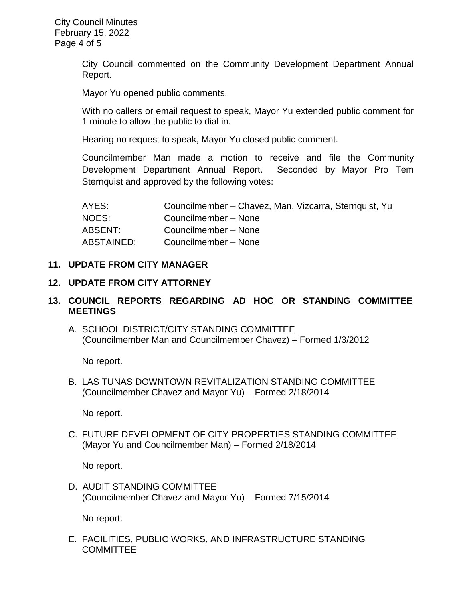City Council commented on the Community Development Department Annual Report.

Mayor Yu opened public comments.

With no callers or email request to speak, Mayor Yu extended public comment for 1 minute to allow the public to dial in.

Hearing no request to speak, Mayor Yu closed public comment.

Councilmember Man made a motion to receive and file the Community Development Department Annual Report. Seconded by Mayor Pro Tem Sternquist and approved by the following votes:

| AYES:      | Councilmember - Chavez, Man, Vizcarra, Sternquist, Yu |
|------------|-------------------------------------------------------|
| NOES:      | Councilmember - None                                  |
| ABSENT:    | Councilmember - None                                  |
| ABSTAINED: | Councilmember - None                                  |

### **11. UPDATE FROM CITY MANAGER**

### **12. UPDATE FROM CITY ATTORNEY**

# **13. COUNCIL REPORTS REGARDING AD HOC OR STANDING COMMITTEE MEETINGS**

A. SCHOOL DISTRICT/CITY STANDING COMMITTEE (Councilmember Man and Councilmember Chavez) – Formed 1/3/2012

No report.

B. LAS TUNAS DOWNTOWN REVITALIZATION STANDING COMMITTEE (Councilmember Chavez and Mayor Yu) – Formed 2/18/2014

No report.

C. FUTURE DEVELOPMENT OF CITY PROPERTIES STANDING COMMITTEE (Mayor Yu and Councilmember Man) – Formed 2/18/2014

No report.

D. AUDIT STANDING COMMITTEE (Councilmember Chavez and Mayor Yu) – Formed 7/15/2014

No report.

E. FACILITIES, PUBLIC WORKS, AND INFRASTRUCTURE STANDING **COMMITTEE**